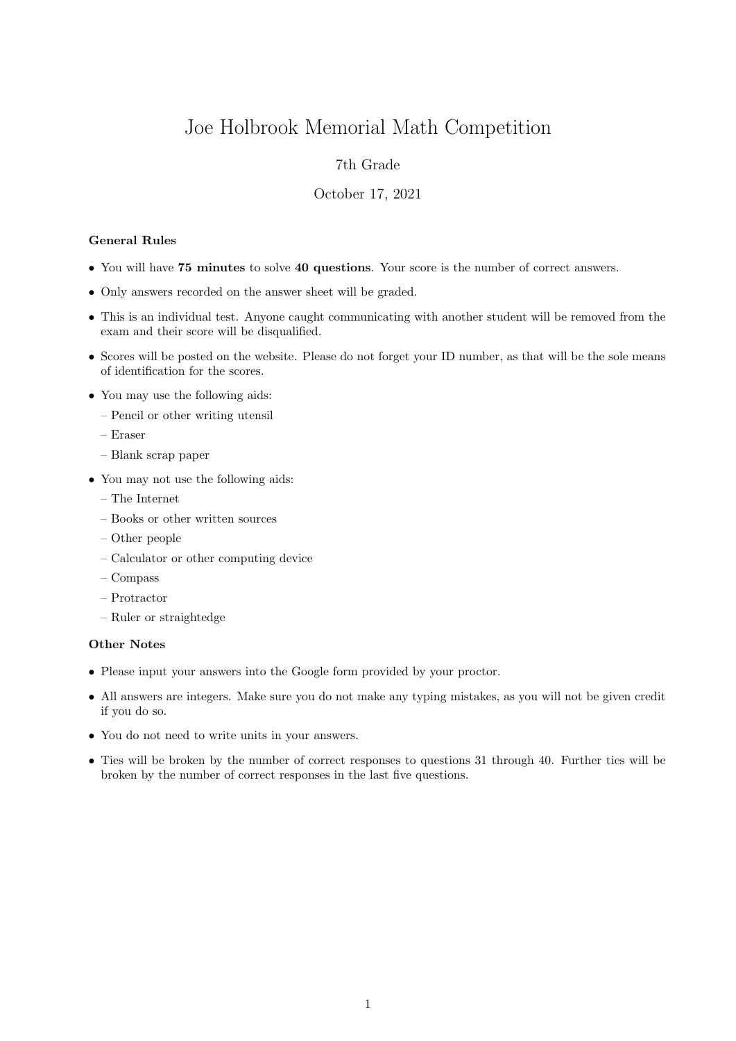# Joe Holbrook Memorial Math Competition

## 7th Grade

#### October 17, 2021

### General Rules

- You will have 75 minutes to solve 40 questions. Your score is the number of correct answers.
- Only answers recorded on the answer sheet will be graded.
- This is an individual test. Anyone caught communicating with another student will be removed from the exam and their score will be disqualified.
- Scores will be posted on the website. Please do not forget your ID number, as that will be the sole means of identification for the scores.
- You may use the following aids:
	- Pencil or other writing utensil
	- Eraser
	- Blank scrap paper
- You may not use the following aids:
	- The Internet
	- Books or other written sources
	- Other people
	- Calculator or other computing device
	- Compass
	- Protractor
	- Ruler or straightedge

#### Other Notes

- Please input your answers into the Google form provided by your proctor.
- All answers are integers. Make sure you do not make any typing mistakes, as you will not be given credit if you do so.
- You do not need to write units in your answers.
- Ties will be broken by the number of correct responses to questions 31 through 40. Further ties will be broken by the number of correct responses in the last five questions.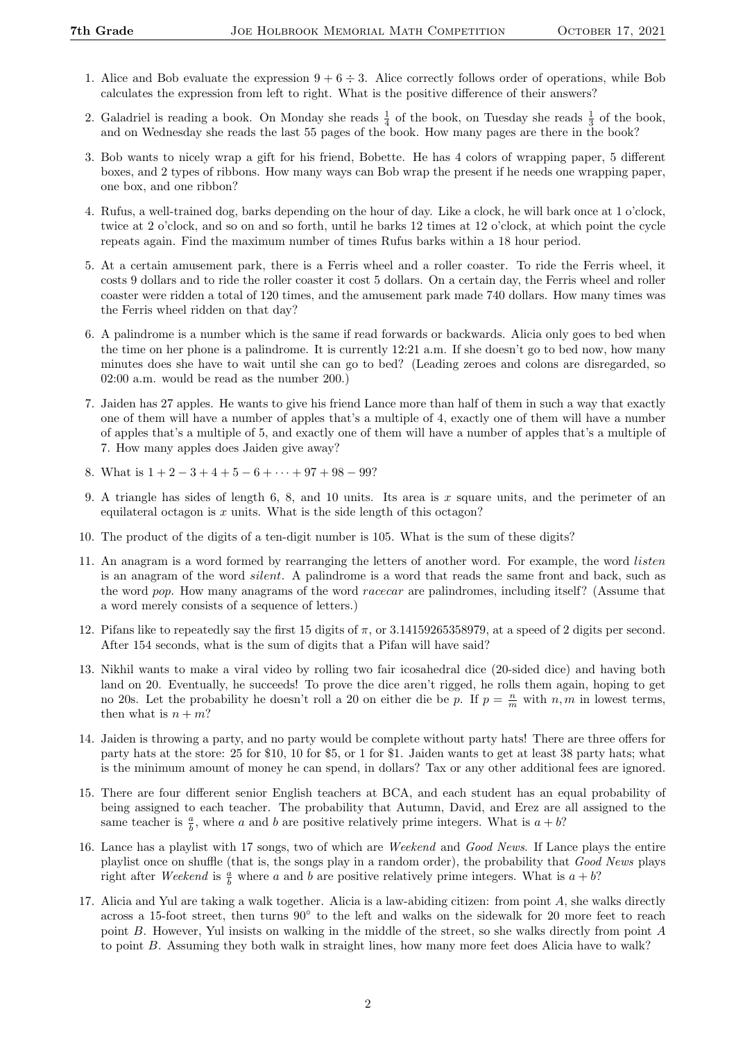- 1. Alice and Bob evaluate the expression  $9 + 6 \div 3$ . Alice correctly follows order of operations, while Bob calculates the expression from left to right. What is the positive difference of their answers?
- 2. Galadriel is reading a book. On Monday she reads  $\frac{1}{4}$  of the book, on Tuesday she reads  $\frac{1}{3}$  of the book, and on Wednesday she reads the last 55 pages of the book. How many pages are there in the book?
- 3. Bob wants to nicely wrap a gift for his friend, Bobette. He has 4 colors of wrapping paper, 5 different boxes, and 2 types of ribbons. How many ways can Bob wrap the present if he needs one wrapping paper, one box, and one ribbon?
- 4. Rufus, a well-trained dog, barks depending on the hour of day. Like a clock, he will bark once at 1 o'clock, twice at 2 o'clock, and so on and so forth, until he barks 12 times at 12 o'clock, at which point the cycle repeats again. Find the maximum number of times Rufus barks within a 18 hour period.
- 5. At a certain amusement park, there is a Ferris wheel and a roller coaster. To ride the Ferris wheel, it costs 9 dollars and to ride the roller coaster it cost 5 dollars. On a certain day, the Ferris wheel and roller coaster were ridden a total of 120 times, and the amusement park made 740 dollars. How many times was the Ferris wheel ridden on that day?
- 6. A palindrome is a number which is the same if read forwards or backwards. Alicia only goes to bed when the time on her phone is a palindrome. It is currently 12:21 a.m. If she doesn't go to bed now, how many minutes does she have to wait until she can go to bed? (Leading zeroes and colons are disregarded, so 02:00 a.m. would be read as the number 200.)
- 7. Jaiden has 27 apples. He wants to give his friend Lance more than half of them in such a way that exactly one of them will have a number of apples that's a multiple of 4, exactly one of them will have a number of apples that's a multiple of 5, and exactly one of them will have a number of apples that's a multiple of 7. How many apples does Jaiden give away?
- 8. What is  $1 + 2 3 + 4 + 5 6 + \cdots + 97 + 98 99$ ?
- 9. A triangle has sides of length 6, 8, and 10 units. Its area is  $x$  square units, and the perimeter of an equilateral octagon is  $x$  units. What is the side length of this octagon?
- 10. The product of the digits of a ten-digit number is 105. What is the sum of these digits?
- 11. An anagram is a word formed by rearranging the letters of another word. For example, the word listen is an anagram of the word silent. A palindrome is a word that reads the same front and back, such as the word pop. How many anagrams of the word racecar are palindromes, including itself? (Assume that a word merely consists of a sequence of letters.)
- 12. Pifans like to repeatedly say the first 15 digits of  $\pi$ , or 3.14159265358979, at a speed of 2 digits per second. After 154 seconds, what is the sum of digits that a Pifan will have said?
- 13. Nikhil wants to make a viral video by rolling two fair icosahedral dice (20-sided dice) and having both land on 20. Eventually, he succeeds! To prove the dice aren't rigged, he rolls them again, hoping to get no 20s. Let the probability he doesn't roll a 20 on either die be p. If  $p = \frac{n}{m}$  with  $n, m$  in lowest terms, then what is  $n + m$ ?
- 14. Jaiden is throwing a party, and no party would be complete without party hats! There are three offers for party hats at the store: 25 for \$10, 10 for \$5, or 1 for \$1. Jaiden wants to get at least 38 party hats; what is the minimum amount of money he can spend, in dollars? Tax or any other additional fees are ignored.
- 15. There are four different senior English teachers at BCA, and each student has an equal probability of being assigned to each teacher. The probability that Autumn, David, and Erez are all assigned to the same teacher is  $\frac{a}{b}$ , where a and b are positive relatively prime integers. What is  $a + b$ ?
- 16. Lance has a playlist with 17 songs, two of which are Weekend and Good News. If Lance plays the entire playlist once on shuffle (that is, the songs play in a random order), the probability that Good News plays right after Weekend is  $\frac{a}{b}$  where a and b are positive relatively prime integers. What is  $a + b$ ?
- 17. Alicia and Yul are taking a walk together. Alicia is a law-abiding citizen: from point A, she walks directly across a 15-foot street, then turns 90° to the left and walks on the sidewalk for 20 more feet to reach point B. However, Yul insists on walking in the middle of the street, so she walks directly from point A to point B. Assuming they both walk in straight lines, how many more feet does Alicia have to walk?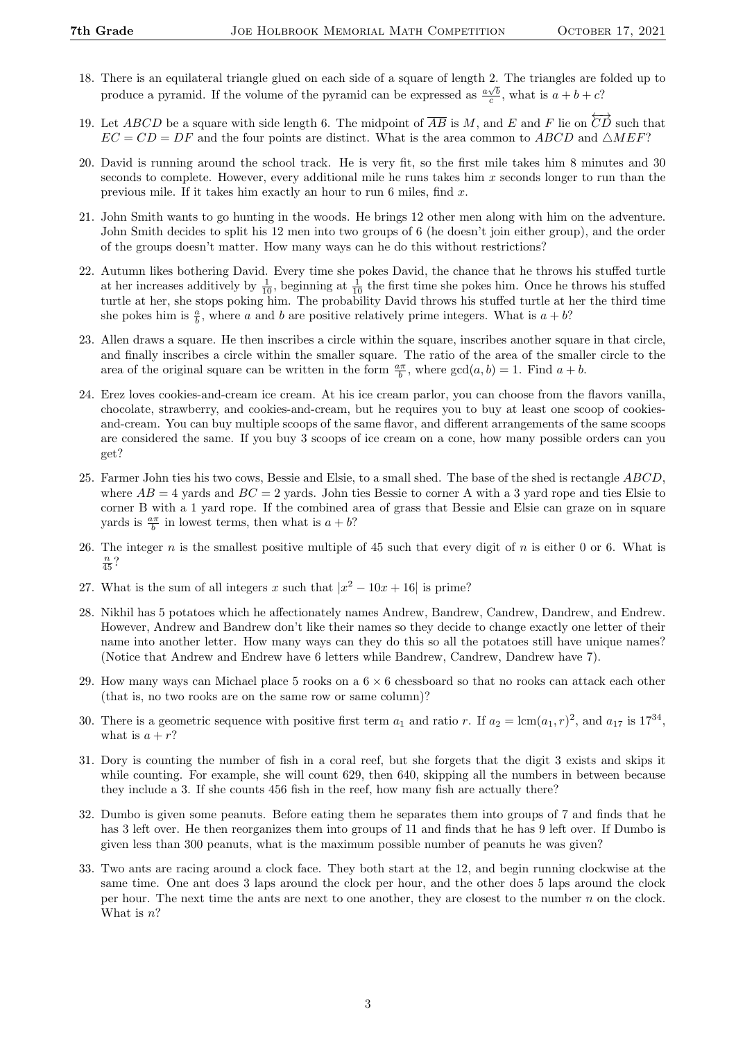- 18. There is an equilateral triangle glued on each side of a square of length 2. The triangles are folded up to produce a pyramid. If the volume of the pyramid can be expressed as  $\frac{a\sqrt{b}}{c}$ , what is  $a+b+c$ ?
- 19. Let ABCD be a square with side length 6. The midpoint of  $\overline{AB}$  is M, and E and F lie on  $\overleftrightarrow{CD}$  such that  $EC = CD = DF$  and the four points are distinct. What is the area common to ABCD and  $\triangle MEF$ ?
- 20. David is running around the school track. He is very fit, so the first mile takes him 8 minutes and 30 seconds to complete. However, every additional mile he runs takes him  $x$  seconds longer to run than the previous mile. If it takes him exactly an hour to run 6 miles, find x.
- 21. John Smith wants to go hunting in the woods. He brings 12 other men along with him on the adventure. John Smith decides to split his 12 men into two groups of 6 (he doesn't join either group), and the order of the groups doesn't matter. How many ways can he do this without restrictions?
- 22. Autumn likes bothering David. Every time she pokes David, the chance that he throws his stuffed turtle at her increases additively by  $\frac{1}{10}$ , beginning at  $\frac{1}{10}$  the first time she pokes him. Once he throws his stuffed turtle at her, she stops poking him. The probability David throws his stuffed turtle at her the third time she pokes him is  $\frac{a}{b}$ , where a and b are positive relatively prime integers. What is  $a + b$ ?
- 23. Allen draws a square. He then inscribes a circle within the square, inscribes another square in that circle, and finally inscribes a circle within the smaller square. The ratio of the area of the smaller circle to the area of the original square can be written in the form  $\frac{a\pi}{b}$ , where  $gcd(a, b) = 1$ . Find  $a + b$ .
- 24. Erez loves cookies-and-cream ice cream. At his ice cream parlor, you can choose from the flavors vanilla, chocolate, strawberry, and cookies-and-cream, but he requires you to buy at least one scoop of cookiesand-cream. You can buy multiple scoops of the same flavor, and different arrangements of the same scoops are considered the same. If you buy 3 scoops of ice cream on a cone, how many possible orders can you get?
- 25. Farmer John ties his two cows, Bessie and Elsie, to a small shed. The base of the shed is rectangle ABCD, where  $AB = 4$  yards and  $BC = 2$  yards. John ties Bessie to corner A with a 3 yard rope and ties Elsie to corner B with a 1 yard rope. If the combined area of grass that Bessie and Elsie can graze on in square yards is  $\frac{a\pi}{b}$  in lowest terms, then what is  $a + b$ ?
- 26. The integer  $n$  is the smallest positive multiple of 45 such that every digit of  $n$  is either 0 or 6. What is  $\frac{n}{45}$ ?
- 27. What is the sum of all integers x such that  $|x^2 10x + 16|$  is prime?
- 28. Nikhil has 5 potatoes which he affectionately names Andrew, Bandrew, Candrew, Dandrew, and Endrew. However, Andrew and Bandrew don't like their names so they decide to change exactly one letter of their name into another letter. How many ways can they do this so all the potatoes still have unique names? (Notice that Andrew and Endrew have 6 letters while Bandrew, Candrew, Dandrew have 7).
- 29. How many ways can Michael place 5 rooks on a  $6 \times 6$  chessboard so that no rooks can attack each other (that is, no two rooks are on the same row or same column)?
- 30. There is a geometric sequence with positive first term  $a_1$  and ratio r. If  $a_2 = \text{lcm}(a_1, r)^2$ , and  $a_{17}$  is  $17^{34}$ , what is  $a + r$ ?
- 31. Dory is counting the number of fish in a coral reef, but she forgets that the digit 3 exists and skips it while counting. For example, she will count 629, then 640, skipping all the numbers in between because they include a 3. If she counts 456 fish in the reef, how many fish are actually there?
- 32. Dumbo is given some peanuts. Before eating them he separates them into groups of 7 and finds that he has 3 left over. He then reorganizes them into groups of 11 and finds that he has 9 left over. If Dumbo is given less than 300 peanuts, what is the maximum possible number of peanuts he was given?
- 33. Two ants are racing around a clock face. They both start at the 12, and begin running clockwise at the same time. One ant does 3 laps around the clock per hour, and the other does 5 laps around the clock per hour. The next time the ants are next to one another, they are closest to the number  $n$  on the clock. What is  $n$ ?